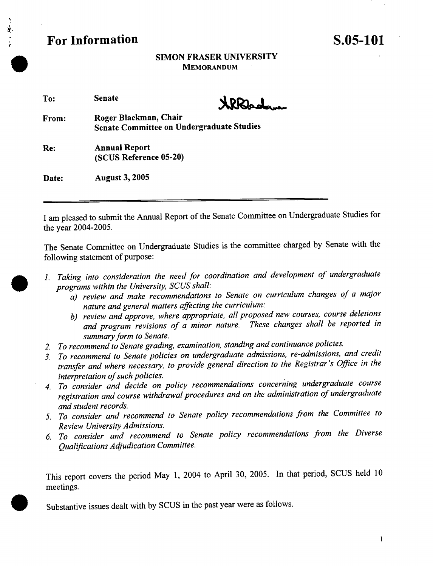

# **SIMON FRASER UNIVERSITY MEMORANDUM**

| To: | <b>Senate</b> |
|-----|---------------|
|     |               |

.

**.**

**From: Roger Blackman, Chair Senate Committee on Undergraduate Studies** 

**Re: Annual Report (SCUS Reference 05-20)** 

**Date: August 3, 2005** 

I am pleased to submit the Annual Report of the Senate Committee on Undergraduate Studies for the year 2004-2005.

The Senate Committee on Undergraduate Studies is the committee charged by Senate with the following statement of purpose:

- *1. Taking into consideration the need for coordination and development of undergraduate programs within the University, SCUS shall:* 
	- *a) review and make recommendations to Senate on curriculum changes of a major nature and general matters affecting the curriculum;*
	- *b) review and approve, where appropriate, all proposed new courses, course deletions and program revisions of a minor nature. These changes shall be reported in summary form to Senate.*
- *2. To recommend to Senate grading, examination, standing and continuance policies.*
- *3. To recommend to Senate policies on undergraduate admissions, re-admissions, and credit transfer and where necessary, to provide general direction to the Registrar's Office in the interpretation of such policies.*
- *4. To consider and decide on policy recommendations concerning undergraduate course registration and course withdrawal procedures and on the administration of undergraduate and student records.*
- *5. To consider and recommend to Senate policy recommendations from the Committee to Review University Admissions.*
- *6 To consider and recommend to Senate policy recommendations from the Diverse Qualifications Adjudication Committee.*

This report covers the period May 1, 2004 to April 30, 2005. In that period, SCUS held 10 meetings.

**9** Substantive issues dealt with by SCUS in the past year were as follows.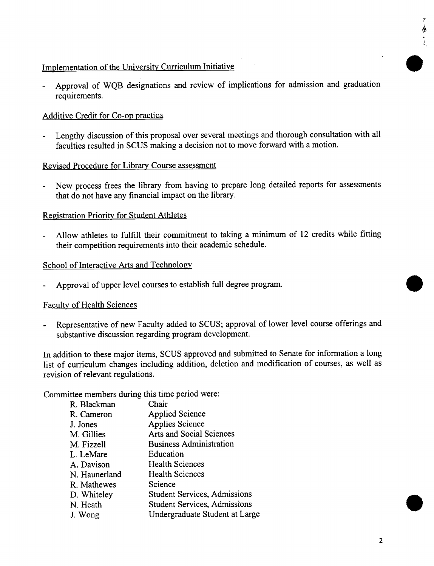# Implementation of the University Curriculum Initiative

- Approval of WQB designations and review of implications for admission and graduation requirements.

# Additive Credit for Co-op practica

Lengthy discussion of this proposal over several meetings and thorough consultation with all faculties resulted in SCUS making a decision not to move forward with a motion.

#### Revised Procedure for Library Course assessment

- New process frees the library from having to prepare long detailed reports for assessments that do not have any financial impact on the library.

# Registration Priority for Student Athletes

Allow athletes to fulfill their commitment to taking a minimum of 12 credits while fitting their competition requirements into their academic schedule.

#### School of Interactive Arts and Technology

Approval of upper level courses to establish full degree program.

#### Faculty of Health Sciences

Representative of new Faculty added to SCUS; approval of lower level course offerings and substantive discussion regarding program development.

In addition to these major items, SCUS approved and submitted to Senate for information a long list of curriculum changes including addition, deletion and modification of courses, as well as revision of relevant regulations.

Committee members during this time period were:

| R. Blackman   | Chair                               |
|---------------|-------------------------------------|
| R. Cameron    | <b>Applied Science</b>              |
| J. Jones      | <b>Applies Science</b>              |
| M. Gillies    | Arts and Social Sciences            |
| M. Fizzell    | <b>Business Administration</b>      |
| L. LeMare     | Education                           |
| A. Davison    | <b>Health Sciences</b>              |
| N. Haunerland | <b>Health Sciences</b>              |
| R. Mathewes   | Science                             |
| D. Whiteley   | <b>Student Services, Admissions</b> |
| N. Heath      | <b>Student Services, Admissions</b> |
| J. Wong       | Undergraduate Student at Large      |

1